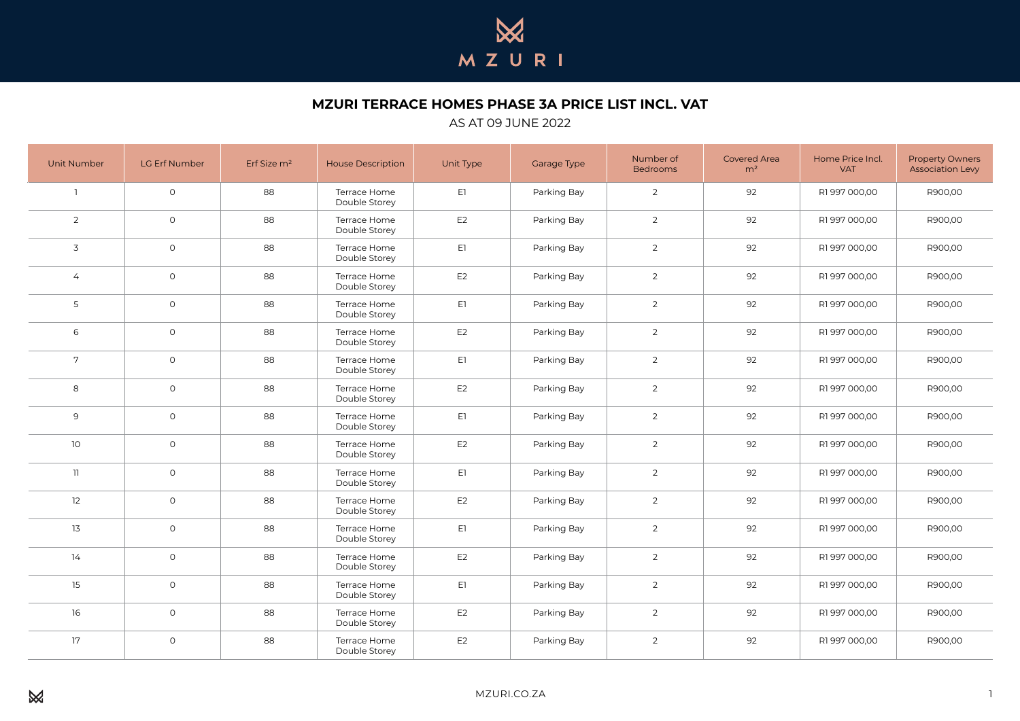

**MZURI TERRACE HOMES PHASE 3A PRICE LIST INCL. VAT**

## AS AT 09 JUNE 2022

| <b>Unit Number</b> | LG Erf Number | Erf Size m <sup>2</sup> | <b>House Description</b>      | Unit Type      | Garage Type | Number of<br><b>Bedrooms</b> | <b>Covered Area</b><br>m <sup>2</sup> | Home Price Incl.<br><b>VAT</b> | <b>Property Owners</b><br><b>Association Levy</b> |
|--------------------|---------------|-------------------------|-------------------------------|----------------|-------------|------------------------------|---------------------------------------|--------------------------------|---------------------------------------------------|
| $\overline{1}$     | $\circ$       | 88                      | Terrace Home<br>Double Storey | E1             | Parking Bay | $\overline{2}$               | 92                                    | R1997000,00                    | R900,00                                           |
| $\overline{2}$     | $\circ$       | 88                      | Terrace Home<br>Double Storey | E <sub>2</sub> | Parking Bay | $\overline{2}$               | 92                                    | R1 997 000,00                  | R900,00                                           |
| 3                  | $\circ$       | 88                      | Terrace Home<br>Double Storey | E1             | Parking Bay | $\overline{2}$               | 92                                    | R1 997 000,00                  | R900,00                                           |
| $\overline{4}$     | $\circ$       | 88                      | Terrace Home<br>Double Storey | E2             | Parking Bay | $\overline{2}$               | 92                                    | R1 997 000,00                  | R900,00                                           |
| 5                  | $\circ$       | 88                      | Terrace Home<br>Double Storey | E1             | Parking Bay | $\overline{2}$               | 92                                    | R1 997 000,00                  | R900,00                                           |
| 6                  | $\circ$       | 88                      | Terrace Home<br>Double Storey | E <sub>2</sub> | Parking Bay | $\overline{2}$               | 92                                    | R1 997 000,00                  | R900,00                                           |
| $7\overline{ }$    | $\circ$       | 88                      | Terrace Home<br>Double Storey | E1             | Parking Bay | $\overline{2}$               | 92                                    | R1997000,00                    | R900,00                                           |
| 8                  | $\circ$       | 88                      | Terrace Home<br>Double Storey | E2             | Parking Bay | $\overline{2}$               | 92                                    | R1997000,00                    | R900,00                                           |
| 9                  | $\circ$       | 88                      | Terrace Home<br>Double Storey | E1             | Parking Bay | $\overline{2}$               | 92                                    | R1997000,00                    | R900,00                                           |
| 10                 | $\circ$       | 88                      | Terrace Home<br>Double Storey | E <sub>2</sub> | Parking Bay | $\overline{2}$               | 92                                    | R1 997 000,00                  | R900,00                                           |
| 11                 | $\circ$       | 88                      | Terrace Home<br>Double Storey | E1             | Parking Bay | $\overline{2}$               | 92                                    | R1997000,00                    | R900,00                                           |
| 12                 | $\circ$       | 88                      | Terrace Home<br>Double Storey | E <sub>2</sub> | Parking Bay | $\overline{2}$               | 92                                    | R1997000,00                    | R900,00                                           |
| 13                 | $\circ$       | 88                      | Terrace Home<br>Double Storey | E1             | Parking Bay | $\overline{2}$               | 92                                    | R1 997 000,00                  | R900,00                                           |
| 14                 | $\circ$       | 88                      | Terrace Home<br>Double Storey | E <sub>2</sub> | Parking Bay | $\overline{2}$               | 92                                    | R1 997 000,00                  | R900,00                                           |
| 15                 | $\circ$       | 88                      | Terrace Home<br>Double Storey | E1             | Parking Bay | $\overline{2}$               | 92                                    | R1 997 000,00                  | R900,00                                           |
| 16                 | $\circ$       | 88                      | Terrace Home<br>Double Storey | E2             | Parking Bay | $\overline{2}$               | 92                                    | R1 997 000,00                  | R900,00                                           |
| 17                 | $\circ$       | 88                      | Terrace Home<br>Double Storey | E <sub>2</sub> | Parking Bay | $\overline{2}$               | 92                                    | R1 997 000,00                  | R900,00                                           |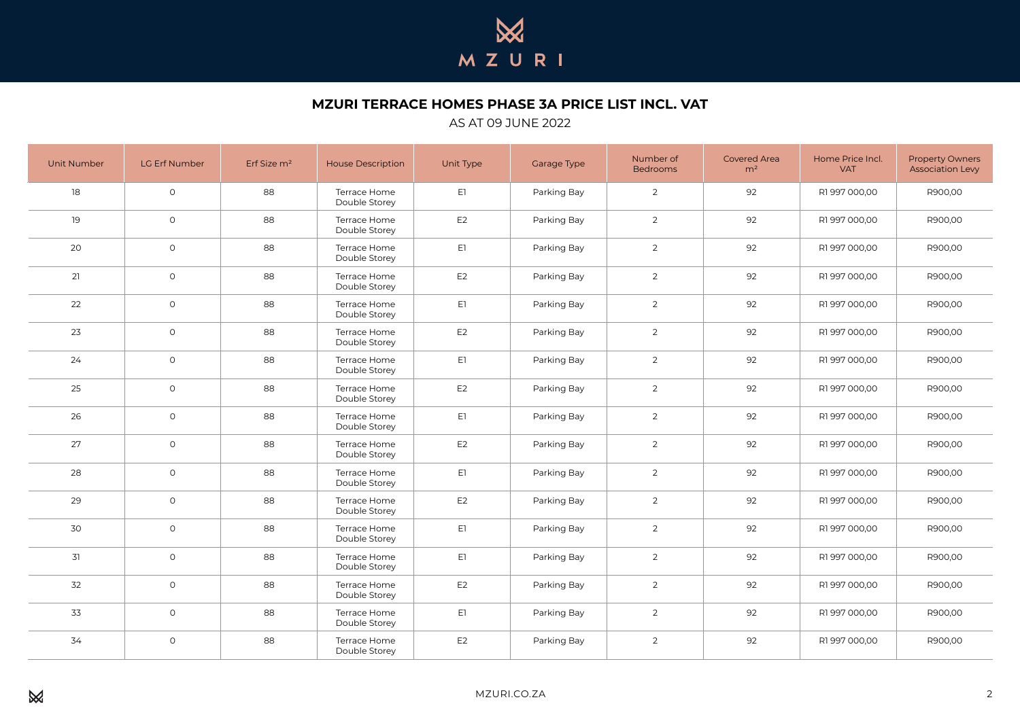

**MZURI TERRACE HOMES PHASE 3A PRICE LIST INCL. VAT**

## AS AT 09 JUNE 2022

| <b>Unit Number</b> | LG Erf Number | Erf Size m <sup>2</sup> | <b>House Description</b>      | Unit Type      | Garage Type | Number of<br><b>Bedrooms</b> | <b>Covered Area</b><br>m <sup>2</sup> | Home Price Incl.<br><b>VAT</b> | <b>Property Owners</b><br>Association Levy |
|--------------------|---------------|-------------------------|-------------------------------|----------------|-------------|------------------------------|---------------------------------------|--------------------------------|--------------------------------------------|
| 18                 | $\circ$       | 88                      | Terrace Home<br>Double Storey | E1             | Parking Bay | $\overline{2}$               | 92                                    | R1997000,00                    | R900,00                                    |
| 19                 | $\circ$       | 88                      | Terrace Home<br>Double Storey | E <sub>2</sub> | Parking Bay | $\overline{2}$               | 92                                    | R1997000,00                    | R900,00                                    |
| 20                 | $\circ$       | 88                      | Terrace Home<br>Double Storey | E1             | Parking Bay | $\overline{2}$               | 92                                    | R1 997 000,00                  | R900,00                                    |
| 21                 | $\circ$       | 88                      | Terrace Home<br>Double Storey | E <sub>2</sub> | Parking Bay | $\overline{2}$               | 92                                    | R1 997 000,00                  | R900,00                                    |
| 22                 | $\circ$       | 88                      | Terrace Home<br>Double Storey | E1             | Parking Bay | $\overline{2}$               | 92                                    | R1997000,00                    | R900,00                                    |
| 23                 | $\circ$       | 88                      | Terrace Home<br>Double Storey | E <sub>2</sub> | Parking Bay | $\overline{2}$               | 92                                    | R1 997 000,00                  | R900,00                                    |
| 24                 | $\circ$       | 88                      | Terrace Home<br>Double Storey | E1             | Parking Bay | $\overline{2}$               | 92                                    | R1 997 000,00                  | R900,00                                    |
| 25                 | $\circ$       | 88                      | Terrace Home<br>Double Storey | E <sub>2</sub> | Parking Bay | $\overline{2}$               | 92                                    | R1 997 000,00                  | R900,00                                    |
| 26                 | $\circ$       | 88                      | Terrace Home<br>Double Storey | E1             | Parking Bay | $\overline{2}$               | 92                                    | R1997000,00                    | R900,00                                    |
| 27                 | $\circ$       | 88                      | Terrace Home<br>Double Storey | E <sub>2</sub> | Parking Bay | $\overline{2}$               | 92                                    | R1 997 000,00                  | R900,00                                    |
| 28                 | $\circ$       | 88                      | Terrace Home<br>Double Storey | E1             | Parking Bay | $\overline{2}$               | 92                                    | R1997000,00                    | R900,00                                    |
| 29                 | $\circ$       | 88                      | Terrace Home<br>Double Storey | E <sub>2</sub> | Parking Bay | $\overline{2}$               | 92                                    | R1997000,00                    | R900,00                                    |
| 30                 | $\circ$       | 88                      | Terrace Home<br>Double Storey | E1             | Parking Bay | $\overline{2}$               | 92                                    | R1 997 000,00                  | R900,00                                    |
| 31                 | $\circ$       | 88                      | Terrace Home<br>Double Storey | E1             | Parking Bay | $\overline{2}$               | 92                                    | R1 997 000,00                  | R900,00                                    |
| 32                 | $\circ$       | 88                      | Terrace Home<br>Double Storey | E <sub>2</sub> | Parking Bay | $\overline{2}$               | 92                                    | R1997000,00                    | R900,00                                    |
| 33                 | $\circ$       | 88                      | Terrace Home<br>Double Storey | E1             | Parking Bay | $\overline{2}$               | 92                                    | R1 997 000,00                  | R900,00                                    |
| 34                 | $\circ$       | 88                      | Terrace Home<br>Double Storey | E <sub>2</sub> | Parking Bay | $\overline{2}$               | 92                                    | R1997000,00                    | R900,00                                    |